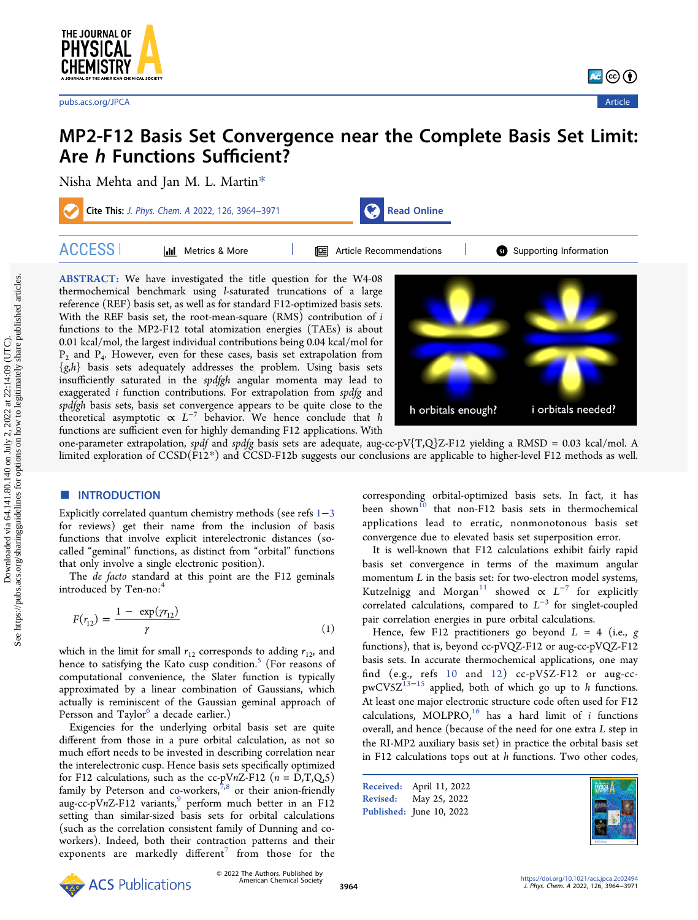

# MP2-F12 Basis Set Convergence near the Complete Basis Set Limit: Are h Functions Sufficient?

[Nisha Mehta](https://pubs.acs.org/action/doSearch?field1=Contrib&text1="Nisha+Mehta"&field2=AllField&text2=&publication=&accessType=allContent&Earliest=&ref=pdf) [and Jan M. L. Martin](https://pubs.acs.org/action/doSearch?field1=Contrib&text1="Jan+M.+L.+Martin"&field2=AllField&text2=&publication=&accessType=allContent&Earliest=&ref=pdf)[\\*](#page-6-0)



ABSTRACT: We have investigated the title question for the W4-08 thermochemical benchmark using l-saturated truncations of a large reference (REF) basis set, as well as for standard F12-optimized basis sets. With the REF basis set, the root-mean-square  $(RMS)$  contribution of i functions to the MP2-F12 total atomization energies (TAEs) is about 0.01 kcal/mol, the largest individual contributions being 0.04 kcal/mol for  $P_2$  and  $P_4$ . However, even for these cases, basis set extrapolation from  $\{g,h\}$  basis sets adequately addresses the problem. Using basis sets insufficiently saturated in the spdfgh angular momenta may lead to exaggerated *i* function contributions. For extrapolation from spdfg and spdfgh basis sets, basis set convergence appears to be quite close to the theoretical asymptotic  $\propto L^{-7}$  behavior. We hence conclude that h functions are sufficient even for highly demanding F12 applications. With



one-parameter extrapolation, spdf and spdfg basis sets are adequate, aug-cc-pV{T,Q}Z-F12 yielding a RMSD = 0.03 kcal/mol. A limited exploration of CCSD(F12\*) and CCSD-F12b suggests our conclusions are applicable to higher-level F12 methods as well.

# ■ INTRODUCTION

Explicitly correlated quantum chemistry methods (see refs [1](#page-6-0)−[3](#page-6-0) for reviews) get their name from the inclusion of basis functions that involve explicit interelectronic distances (socalled "geminal" functions, as distinct from "orbital" functions that only involve a single electronic position).

The *de facto* standard at this point are the F12 geminals introduced by Ten-no:<sup>[4](#page-6-0)</sup>

$$
F(r_{12}) = \frac{1 - \exp(\gamma r_{12})}{\gamma}
$$
 (1)

which in the limit for small  $r_{12}$  corresponds to adding  $r_{12}$ , and hence to satisfying the Kato cusp condition. $5$  (For reasons of computational convenience, the Slater function is typically approximated by a linear combination of Gaussians, which actually is reminiscent of the Gaussian geminal approach of Persson and Taylor<sup>o</sup> a decade earlier.)

Exigencies for the underlying orbital basis set are quite different from those in a pure orbital calculation, as not so much effort needs to be invested in describing correlation near the interelectronic cusp. Hence basis sets specifically optimized for F12 calculations, such as the cc-pVnZ-F12  $(n = D,T,Q,S)$ family by Peterson and co-workers, $^{7,8}$  $^{7,8}$  $^{7,8}$  or their anion-friendly aug-cc-pVnZ-F12 variants, $\frac{9}{9}$  $\frac{9}{9}$  $\frac{9}{9}$  perform much better in an F12 setting than similar-sized basis sets for orbital calculations (such as the correlation consistent family of Dunning and coworkers). Indeed, both their contraction patterns and their exponents are markedly different<sup>'</sup> from those for the

corresponding orbital-optimized basis sets. In fact, it has been shown<sup>[10](#page-6-0)</sup> that non-F12 basis sets in thermochemical applications lead to erratic, nonmonotonous basis set convergence due to elevated basis set superposition error.

It is well-known that F12 calculations exhibit fairly rapid basis set convergence in terms of the maximum angular momentum  $L$  in the basis set: for two-electron model systems, Kutzelnigg and Morgan<sup>[11](#page-6-0)</sup> showed  $\propto L^{-7}$  for explicitly correlated calculations, compared to  $L^{-3}$  for singlet-coupled pair correlation energies in pure orbital calculations.

Hence, few F12 practitioners go beyond  $L = 4$  (i.e., g functions), that is, beyond cc-pVQZ-F12 or aug-cc-pVQZ-F12 basis sets. In accurate thermochemical applications, one may find (e.g., refs [10](#page-6-0) and [12\)](#page-6-0) cc-pV5Z-F12 or aug-cc- $pwCV5Z^{13-15}$  $pwCV5Z^{13-15}$  $pwCV5Z^{13-15}$  applied, both of which go up to h functions. At least one major electronic structure code often used for F12 calculations, MOLPRO, $16$  has a hard limit of *i* functions overall, and hence (because of the need for one extra L step in the RI-MP2 auxiliary basis set) in practice the orbital basis set in F12 calculations tops out at  $h$  functions. Two other codes,

Received: April 11, 2022 Revised: May 25, 2022 Published: June 10, 2022

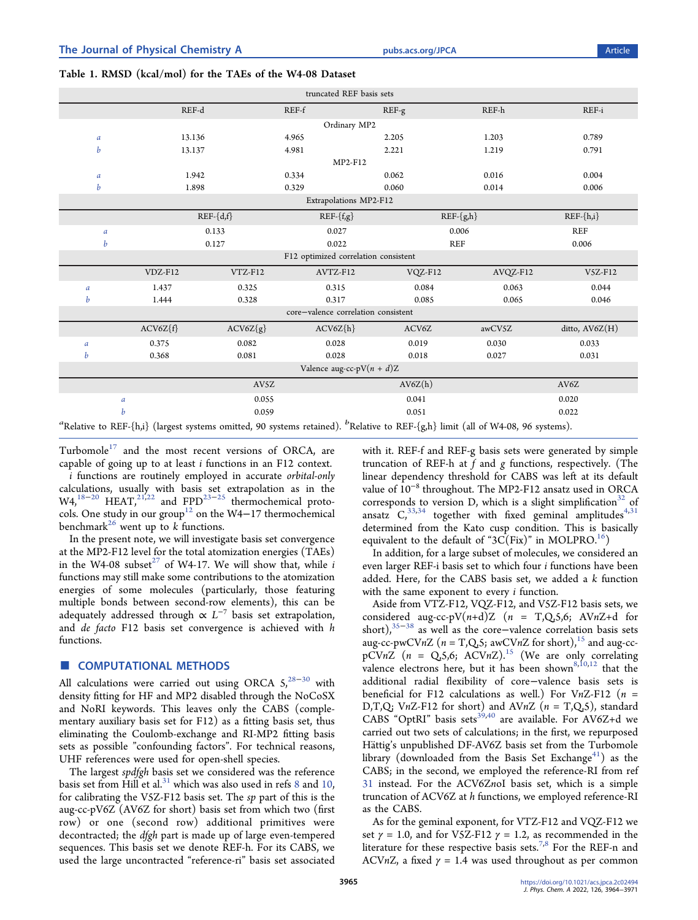# <span id="page-1-0"></span>Table 1. RMSD (kcal/mol) for the TAEs of the W4-08 Dataset

|                        | truncated REF basis sets                                                                                                                                |             |                                     |            |          |                |  |  |  |  |
|------------------------|---------------------------------------------------------------------------------------------------------------------------------------------------------|-------------|-------------------------------------|------------|----------|----------------|--|--|--|--|
|                        | REF-d                                                                                                                                                   |             | REF-f                               | REF-g      | REF-h    | REF-i          |  |  |  |  |
|                        | Ordinary MP2                                                                                                                                            |             |                                     |            |          |                |  |  |  |  |
| $\boldsymbol{a}$       | 13.136                                                                                                                                                  |             | 4.965                               | 2.205      | 1.203    | 0.789          |  |  |  |  |
| b                      | 13.137                                                                                                                                                  |             | 4.981                               | 2.221      | 1.219    | 0.791          |  |  |  |  |
|                        |                                                                                                                                                         |             | MP2-F12                             |            |          |                |  |  |  |  |
| $\boldsymbol{a}$       | 1.942                                                                                                                                                   |             | 0.334                               | 0.062      | 0.016    | 0.004          |  |  |  |  |
| b                      | 1.898                                                                                                                                                   |             | 0.329                               | 0.060      | 0.014    | 0.006          |  |  |  |  |
| Extrapolations MP2-F12 |                                                                                                                                                         |             |                                     |            |          |                |  |  |  |  |
|                        |                                                                                                                                                         | $REF-{d,f}$ | $REF{-}f,g$                         | $REF-{gh}$ |          | $REF-\{h,i\}$  |  |  |  |  |
| a                      |                                                                                                                                                         | 0.133       | 0.027                               | 0.006      |          | REF            |  |  |  |  |
| b                      |                                                                                                                                                         | 0.127       | 0.022                               | <b>REF</b> |          | 0.006          |  |  |  |  |
|                        | F12 optimized correlation consistent                                                                                                                    |             |                                     |            |          |                |  |  |  |  |
|                        | VDZ-F12                                                                                                                                                 | VTZ-F12     | AVTZ-F12                            | VQZ-F12    | AVQZ-F12 | V5Z-F12        |  |  |  |  |
| a                      | 1.437                                                                                                                                                   | 0.325       | 0.315                               | 0.084      | 0.063    | 0.044          |  |  |  |  |
| b                      | 1.444                                                                                                                                                   | 0.328       | 0.317                               | 0.085      | 0.065    | 0.046          |  |  |  |  |
|                        |                                                                                                                                                         |             | core-valence correlation consistent |            |          |                |  |  |  |  |
|                        | $ACV6Z{f}$                                                                                                                                              | $ACV6Z{g}$  | $ACV6Z{h}$                          | ACV6Z      | awCV5Z   | ditto, AV6Z(H) |  |  |  |  |
| $\mathfrak a$          | 0.375                                                                                                                                                   | 0.082       | 0.028                               | 0.019      | 0.030    | 0.033          |  |  |  |  |
| b                      | 0.368                                                                                                                                                   | 0.081       | 0.028                               | 0.018      | 0.027    | 0.031          |  |  |  |  |
|                        | Valence aug-cc-pV $(n + d)Z$                                                                                                                            |             |                                     |            |          |                |  |  |  |  |
|                        |                                                                                                                                                         | AV5Z        |                                     | AV6Z(h)    |          | AV6Z           |  |  |  |  |
|                        | a                                                                                                                                                       | 0.055       |                                     | 0.041      |          | 0.020          |  |  |  |  |
|                        | b                                                                                                                                                       | 0.059       |                                     | 0.051      |          | 0.022          |  |  |  |  |
|                        | <sup>a</sup> Relative to REF-{h,i} (largest systems omitted, 90 systems retained). <sup>b</sup> Relative to REF-{g,h} limit (all of W4-08, 96 systems). |             |                                     |            |          |                |  |  |  |  |

Turbomole<sup>[17](#page-6-0)</sup> and the most recent versions of ORCA, are capable of going up to at least i functions in an F12 context.

i functions are routinely employed in accurate orbital-only calculations, usually with basis set extrapolation as in the W4,<sup>18−[20](#page-6-0)</sup> HEAT,<sup>[21](#page-6-0),[22](#page-6-0)</sup> and FPD<sup>[23](#page-6-0)−[25](#page-6-0)</sup> thermochemical proto-cols. One study in our group<sup>[12](#page-6-0)</sup> on the W4−17 thermochemical benchmark<sup>[26](#page-6-0)</sup> went up to k functions.

In the present note, we will investigate basis set convergence at the MP2-F12 level for the total atomization energies (TAEs) in the W4-08 subset<sup>27</sup> of W4-17. We will show that, while i functions may still make some contributions to the atomization energies of some molecules (particularly, those featuring multiple bonds between second-row elements), this can be adequately addressed through  $\propto L^{-7}$  basis set extrapolation, and de facto F12 basis set convergence is achieved with h functions.

## ■ COMPUTATIONAL METHODS

All calculations were carried out using ORCA  $5,^{28-30}$  $5,^{28-30}$  $5,^{28-30}$  $5,^{28-30}$  $5,^{28-30}$  with density fitting for HF and MP2 disabled through the NoCoSX and NoRI keywords. This leaves only the CABS (complementary auxiliary basis set for F12) as a fitting basis set, thus eliminating the Coulomb-exchange and RI-MP2 fitting basis sets as possible "confounding factors". For technical reasons, UHF references were used for open-shell species.

The largest spdfgh basis set we considered was the reference basis set from Hill et al. $31$  which was also used in refs [8](#page-6-0) and [10](#page-6-0), for calibrating the V5Z-F12 basis set. The sp part of this is the aug-cc-pV6Z (AV6Z for short) basis set from which two (first row) or one (second row) additional primitives were decontracted; the dfgh part is made up of large even-tempered sequences. This basis set we denote REF-h. For its CABS, we used the large uncontracted "reference-ri" basis set associated

with it. REF-f and REF-g basis sets were generated by simple truncation of REF-h at  $f$  and  $g$  functions, respectively. (The linear dependency threshold for CABS was left at its default value of 10<sup>−</sup><sup>8</sup> throughout. The MP2-F12 ansatz used in ORCA corresponds to version D, which is a slight simplification<sup>32</sup> of ansatz  $C_1^{33,34}$  $C_1^{33,34}$  $C_1^{33,34}$  together with fixed geminal amplitudes<sup>[4](#page-6-0)[,31](#page-7-0)</sup> determined from the Kato cusp condition. This is basically equivalent to the default of " $3C(Fix)$ " in MOLPRO.<sup>16</sup>)

In addition, for a large subset of molecules, we considered an even larger REF-i basis set to which four i functions have been added. Here, for the CABS basis set, we added a k function with the same exponent to every *i* function.

Aside from VTZ-F12, VQZ-F12, and V5Z-F12 basis sets, we considered aug-cc-pV $(n+d)Z$   $(n = T,Q,5,6; AVnZ+d$  for short),<sup>[35](#page-7-0)−[38](#page-7-0)</sup> as well as the core-valence correlation basis sets aug-cc-pwCVnZ ( $n = T$ , $Q$ , $5$ ; awCVnZ for short),<sup>[15](#page-6-0)</sup> and aug-ccpCVnZ  $(n = Q_5, 6; ACVnZ)^{15}$  $(n = Q_5, 6; ACVnZ)^{15}$  $(n = Q_5, 6; ACVnZ)^{15}$  (We are only correlating valence electrons here, but it has been shown<sup>[8,10](#page-6-0),[12](#page-6-0)</sup> that the additional radial flexibility of core−valence basis sets is beneficial for F12 calculations as well.) For VnZ-F12 ( $n =$ D,T,Q; VnZ-F12 for short) and AVnZ ( $n = T$ ,Q,5), standard CABS "OptRI" basis sets $39,40$  are available. For AV6Z+d we carried out two sets of calculations; in the first, we repurposed Hättig's unpublished DF-AV6Z basis set from the Turbomole library (downloaded from the Basis Set Exchange<sup>41</sup>) as the CABS; in the second, we employed the reference-RI from ref [31](#page-7-0) instead. For the ACV6ZnoI basis set, which is a simple truncation of ACV6Z at h functions, we employed reference-RI as the CABS.

As for the geminal exponent, for VTZ-F12 and VQZ-F12 we set  $\gamma = 1.0$ , and for V5Z-F12  $\gamma = 1.2$ , as recommended in the literature for these respective basis sets.<sup>7,8</sup> For the REF-n and ACVnZ, a fixed  $\gamma = 1.4$  was used throughout as per common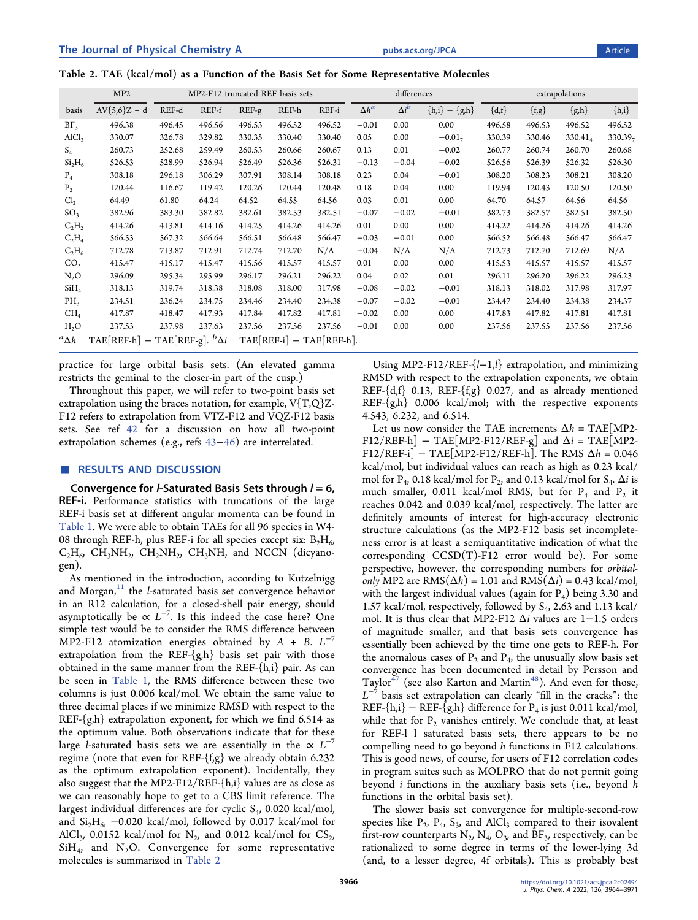|  |  |  |  |  |  |  |  |  | Table 2. TAE (kcal/mol) as a Function of the Basis Set for Some Representative Molecules |  |
|--|--|--|--|--|--|--|--|--|------------------------------------------------------------------------------------------|--|
|--|--|--|--|--|--|--|--|--|------------------------------------------------------------------------------------------|--|

|                                | MP <sub>2</sub>                                                                                        | MP2-F12 truncated REF basis sets |        |        |        | differences |              |              | extrapolations       |           |           |            |            |
|--------------------------------|--------------------------------------------------------------------------------------------------------|----------------------------------|--------|--------|--------|-------------|--------------|--------------|----------------------|-----------|-----------|------------|------------|
| basis                          | $AV{5,6}Z + d$                                                                                         | REF-d                            | REF-f  | REF-g  | REF-h  | REF-i       | $\Delta h^a$ | $\Delta i^b$ | ${h,i} - {gh}$       | $\{d,f\}$ | $\{f,g\}$ | ${g,h}$    | $\{h,i\}$  |
| BF <sub>3</sub>                | 496.38                                                                                                 | 496.45                           | 496.56 | 496.53 | 496.52 | 496.52      | $-0.01$      | 0.00         | 0.00                 | 496.58    | 496.53    | 496.52     | 496.52     |
| AICl <sub>3</sub>              | 330.07                                                                                                 | 326.78                           | 329.82 | 330.35 | 330.40 | 330.40      | 0.05         | 0.00         | $-0.01$ <sub>7</sub> | 330.39    | 330.46    | $330.41_4$ | $330.39_7$ |
| $S_4$                          | 260.73                                                                                                 | 252.68                           | 259.49 | 260.53 | 260.66 | 260.67      | 0.13         | 0.01         | $-0.02$              | 260.77    | 260.74    | 260.70     | 260.68     |
| Si <sub>2</sub> H <sub>6</sub> | 526.53                                                                                                 | 528.99                           | 526.94 | 526.49 | 526.36 | 526.31      | $-0.13$      | $-0.04$      | $-0.02$              | 526.56    | 526.39    | 526.32     | 526.30     |
| $P_4$                          | 308.18                                                                                                 | 296.18                           | 306.29 | 307.91 | 308.14 | 308.18      | 0.23         | 0.04         | $-0.01$              | 308.20    | 308.23    | 308.21     | 308.20     |
| P <sub>2</sub>                 | 120.44                                                                                                 | 116.67                           | 119.42 | 120.26 | 120.44 | 120.48      | 0.18         | 0.04         | 0.00                 | 119.94    | 120.43    | 120.50     | 120.50     |
| Cl <sub>2</sub>                | 64.49                                                                                                  | 61.80                            | 64.24  | 64.52  | 64.55  | 64.56       | 0.03         | 0.01         | 0.00                 | 64.70     | 64.57     | 64.56      | 64.56      |
| SO <sub>3</sub>                | 382.96                                                                                                 | 383.30                           | 382.82 | 382.61 | 382.53 | 382.51      | $-0.07$      | $-0.02$      | $-0.01$              | 382.73    | 382.57    | 382.51     | 382.50     |
| $C_2H_2$                       | 414.26                                                                                                 | 413.81                           | 414.16 | 414.25 | 414.26 | 414.26      | 0.01         | 0.00         | 0.00                 | 414.22    | 414.26    | 414.26     | 414.26     |
| $C_2H_4$                       | 566.53                                                                                                 | 567.32                           | 566.64 | 566.51 | 566.48 | 566.47      | $-0.03$      | $-0.01$      | 0.00                 | 566.52    | 566.48    | 566.47     | 566.47     |
| $C_2H_6$                       | 712.78                                                                                                 | 713.87                           | 712.91 | 712.74 | 712.70 | N/A         | $-0.04$      | N/A          | N/A                  | 712.73    | 712.70    | 712.69     | N/A        |
| CO <sub>2</sub>                | 415.47                                                                                                 | 415.17                           | 415.47 | 415.56 | 415.57 | 415.57      | 0.01         | 0.00         | 0.00                 | 415.53    | 415.57    | 415.57     | 415.57     |
| $N_2O$                         | 296.09                                                                                                 | 295.34                           | 295.99 | 296.17 | 296.21 | 296.22      | 0.04         | 0.02         | 0.01                 | 296.11    | 296.20    | 296.22     | 296.23     |
| SiH <sub>4</sub>               | 318.13                                                                                                 | 319.74                           | 318.38 | 318.08 | 318.00 | 317.98      | $-0.08$      | $-0.02$      | $-0.01$              | 318.13    | 318.02    | 317.98     | 317.97     |
| $PH_3$                         | 234.51                                                                                                 | 236.24                           | 234.75 | 234.46 | 234.40 | 234.38      | $-0.07$      | $-0.02$      | $-0.01$              | 234.47    | 234.40    | 234.38     | 234.37     |
| CH <sub>4</sub>                | 417.87                                                                                                 | 418.47                           | 417.93 | 417.84 | 417.82 | 417.81      | $-0.02$      | 0.00         | 0.00                 | 417.83    | 417.82    | 417.81     | 417.81     |
| $H_2O$                         | 237.53                                                                                                 | 237.98                           | 237.63 | 237.56 | 237.56 | 237.56      | $-0.01$      | 0.00         | 0.00                 | 237.56    | 237.55    | 237.56     | 237.56     |
|                                | TAE[REF-g]. ${}^{b}\Delta i$ = TAE[REF-i] - TAE[REF-h].<br>${}^a\Delta h = \text{TAE}[\text{REF-h}] -$ |                                  |        |        |        |             |              |              |                      |           |           |            |            |

practice for large orbital basis sets. (An elevated gamma restricts the geminal to the closer-in part of the cusp.)

Throughout this paper, we will refer to two-point basis set extrapolation using the braces notation, for example,  $V(T,Q)Z$ -F12 refers to extrapolation from VTZ-F12 and VQZ-F12 basis sets. See ref [42](#page-7-0) for a discussion on how all two-point extrapolation schemes (e.g., refs [43](#page-7-0)−[46\)](#page-7-0) are interrelated.

## ■ RESULTS AND DISCUSSION

Convergence for *l*-Saturated Basis Sets through  $l = 6$ , REF-i. Performance statistics with truncations of the large REF-i basis set at different angular momenta can be found in [Table 1.](#page-1-0) We were able to obtain TAEs for all 96 species in W4- 08 through REF-h, plus REF-i for all species except six:  $B_2H_6$ ,  $C_2H_6$ , CH<sub>3</sub>NH<sub>2</sub>, CH<sub>2</sub>NH<sub>2</sub>, CH<sub>3</sub>NH, and NCCN (dicyanogen).

As mentioned in the introduction, according to Kutzelnigg and Morgan, $11$  the *l*-saturated basis set convergence behavior in an R12 calculation, for a closed-shell pair energy, should asymptotically be  $\propto L^{-7}$ . Is this indeed the case here? One simple test would be to consider the RMS difference between MP2-F12 atomization energies obtained by  $A + B$ .  $L^{-7}$ extrapolation from the REF- ${g,h}$  basis set pair with those obtained in the same manner from the REF-{h,i} pair. As can be seen in [Table 1,](#page-1-0) the RMS difference between these two columns is just 0.006 kcal/mol. We obtain the same value to three decimal places if we minimize RMSD with respect to the REF- $\{g,h\}$  extrapolation exponent, for which we find 6.514 as the optimum value. Both observations indicate that for these large l-saturated basis sets we are essentially in the  $\propto L^{-7}$ regime (note that even for REF-{f,g} we already obtain 6.232 as the optimum extrapolation exponent). Incidentally, they also suggest that the MP2-F12/REF-{h,i} values are as close as we can reasonably hope to get to a CBS limit reference. The largest individual differences are for cyclic  $S_4$ , 0.020 kcal/mol, and  $Si<sub>2</sub>H<sub>6</sub>$ , -0.020 kcal/mol, followed by 0.017 kcal/mol for AlCl<sub>3</sub>, 0.0152 kcal/mol for  $N_2$ , and 0.012 kcal/mol for  $CS_2$ ,  $SiH<sub>4</sub>$ , and N<sub>2</sub>O. Convergence for some representative molecules is summarized in Table 2

Using MP2-F12/REF-{l−1,l} extrapolation, and minimizing RMSD with respect to the extrapolation exponents, we obtain REF- ${d,f}$  0.13, REF- ${fg}$  0.027, and as already mentioned REF-{g,h} 0.006 kcal/mol; with the respective exponents 4.543, 6.232, and 6.514.

Let us now consider the TAE increments  $\Delta h = \text{TAE}[\text{MP2}$ -F12/REF-h] – TAE[MP2-F12/REF-g] and  $\Delta i$  = TAE[MP2-F12/REF-i] – TAE[MP2-F12/REF-h]. The RMS  $\Delta h = 0.046$ kcal/mol, but individual values can reach as high as 0.23 kcal/ mol for P<sub>4</sub>, 0.18 kcal/mol for P<sub>2</sub>, and 0.13 kcal/mol for S<sub>4</sub>.  $\Delta i$  is much smaller, 0.011 kcal/mol RMS, but for  $P_4$  and  $P_2$  it reaches 0.042 and 0.039 kcal/mol, respectively. The latter are definitely amounts of interest for high-accuracy electronic structure calculations (as the MP2-F12 basis set incompleteness error is at least a semiquantitative indication of what the corresponding CCSD(T)-F12 error would be). For some perspective, however, the corresponding numbers for orbitalonly MP2 are  $RMS(\Delta h) = 1.01$  and  $RMS(\Delta i) = 0.43$  kcal/mol, with the largest individual values (again for  $P_4$ ) being 3.30 and 1.57 kcal/mol, respectively, followed by  $S_4$ , 2.63 and 1.13 kcal/ mol. It is thus clear that MP2-F12 Δi values are 1−1.5 orders of magnitude smaller, and that basis sets convergence has essentially been achieved by the time one gets to REF-h. For the anomalous cases of  $P_2$  and  $P_4$ , the unusually slow basis set convergence has been documented in detail by Persson and Taylor<sup>[47](#page-7-0)</sup> (see also Karton and Martin<sup>[48](#page-7-0)</sup>). And even for those,  $L^{-7}$  basis set extrapolation can clearly "fill in the cracks": the REF-{h,i} – REF-{g,h} difference for  $P_4$  is just 0.011 kcal/mol, while that for  $P_2$  vanishes entirely. We conclude that, at least for REF-l l saturated basis sets, there appears to be no compelling need to go beyond h functions in F12 calculations. This is good news, of course, for users of F12 correlation codes in program suites such as MOLPRO that do not permit going beyond i functions in the auxiliary basis sets (i.e., beyond h functions in the orbital basis set).

The slower basis set convergence for multiple-second-row species like  $P_2$ ,  $P_4$ ,  $S_3$ , and AlCl<sub>3</sub> compared to their isovalent first-row counterparts  $N_2$ ,  $N_4$ ,  $O_3$ , and  $BF_3$ , respectively, can be rationalized to some degree in terms of the lower-lying 3d (and, to a lesser degree, 4f orbitals). This is probably best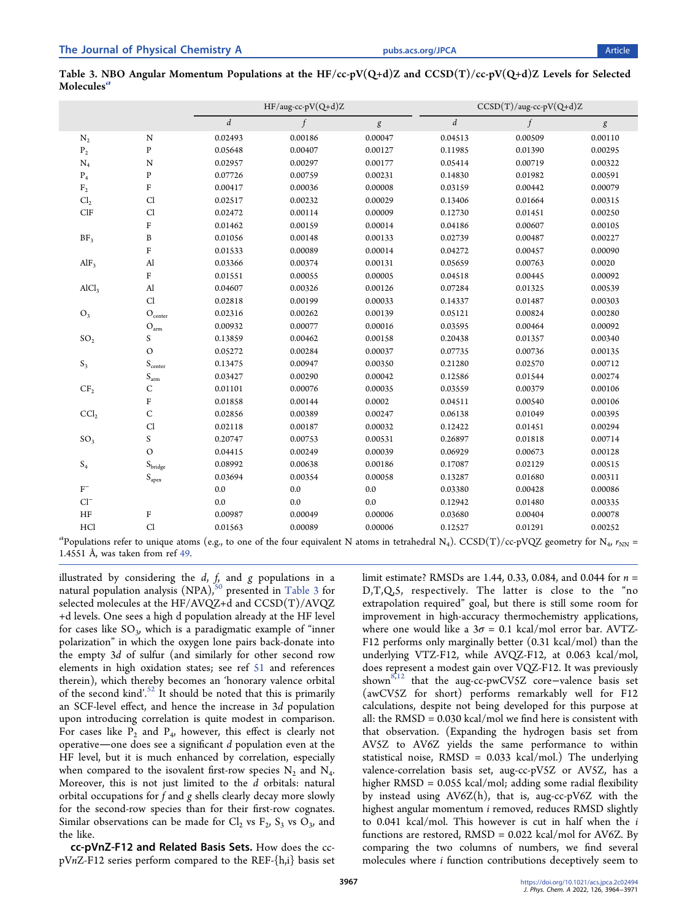|                   |                             | $\boldsymbol{d}$ | $\int$  | $\boldsymbol{g}$ | $\boldsymbol{d}$ | $\boldsymbol{f}$ | $\boldsymbol{g}$ |  |
|-------------------|-----------------------------|------------------|---------|------------------|------------------|------------------|------------------|--|
| $N_2$             | $\mathbf N$                 | 0.02493          | 0.00186 | 0.00047          | 0.04513          | 0.00509          | 0.00110          |  |
| $\mathbf{P}_2$    | ${\bf P}$                   | 0.05648          | 0.00407 | 0.00127          | 0.11985          | 0.01390          | 0.00295          |  |
| $N_4$             | $\mathbf N$                 | 0.02957          | 0.00297 | 0.00177          | 0.05414          | 0.00719          | 0.00322          |  |
| $P_4$             | ${\bf P}$                   | 0.07726          | 0.00759 | 0.00231          | 0.14830          | 0.01982          | 0.00591          |  |
| $\rm F_2$         | ${\bf F}$                   | 0.00417          | 0.00036 | 0.00008          | 0.03159          | 0.00442          | 0.00079          |  |
| Cl <sub>2</sub>   | Cl                          | 0.02517          | 0.00232 | 0.00029          | 0.13406          | 0.01664          | 0.00315          |  |
| ClF               | Cl                          | 0.02472          | 0.00114 | 0.00009          | 0.12730          | 0.01451          | 0.00250          |  |
|                   | ${\bf F}$                   | 0.01462          | 0.00159 | 0.00014          | 0.04186          | 0.00607          | 0.00105          |  |
| BF <sub>3</sub>   | $\, {\bf B}$                | 0.01056          | 0.00148 | 0.00133          | 0.02739          | 0.00487          | 0.00227          |  |
|                   | $\rm F$                     | 0.01533          | 0.00089 | 0.00014          | 0.04272          | 0.00457          | 0.00090          |  |
| $\rm AlF_3$       | $\mathbf{A}$                | 0.03366          | 0.00374 | 0.00131          | 0.05659          | 0.00763          | 0.0020           |  |
|                   | ${\bf F}$                   | 0.01551          | 0.00055 | 0.00005          | 0.04518          | 0.00445          | 0.00092          |  |
| AICl <sub>3</sub> | $\mathbf{A}$                | 0.04607          | 0.00326 | 0.00126          | 0.07284          | 0.01325          | 0.00539          |  |
|                   | Cl                          | 0.02818          | 0.00199 | 0.00033          | 0.14337          | 0.01487          | 0.00303          |  |
| $O_3$             | $\mathcal{O}_\text{center}$ | 0.02316          | 0.00262 | 0.00139          | 0.05121          | 0.00824          | 0.00280          |  |
|                   | $O_{\rm arm}$               | 0.00932          | 0.00077 | 0.00016          | 0.03595          | 0.00464          | 0.00092          |  |
| SO <sub>2</sub>   | S                           | 0.13859          | 0.00462 | 0.00158          | 0.20438          | 0.01357          | 0.00340          |  |
|                   | $\circ$                     | 0.05272          | 0.00284 | 0.00037          | 0.07735          | 0.00736          | 0.00135          |  |
| $\mathbf{S}_3$    | $S_{center}$                | 0.13475          | 0.00947 | 0.00350          | 0.21280          | 0.02570          | 0.00712          |  |
|                   | $S_{\rm arm}$               | 0.03427          | 0.00290 | 0.00042          | 0.12586          | 0.01544          | 0.00274          |  |
| CF <sub>2</sub>   | $\mathsf C$                 | 0.01101          | 0.00076 | 0.00035          | 0.03559          | 0.00379          | 0.00106          |  |
|                   | ${\bf F}$                   | 0.01858          | 0.00144 | 0.0002           | 0.04511          | 0.00540          | 0.00106          |  |
| CCl <sub>2</sub>  | $\mathsf C$                 | 0.02856          | 0.00389 | 0.00247          | 0.06138          | 0.01049          | 0.00395          |  |
|                   | Cl                          | 0.02118          | 0.00187 | 0.00032          | 0.12422          | 0.01451          | 0.00294          |  |
| SO <sub>3</sub>   | S                           | 0.20747          | 0.00753 | 0.00531          | 0.26897          | 0.01818          | 0.00714          |  |
|                   | $\circ$                     | 0.04415          | 0.00249 | 0.00039          | 0.06929          | 0.00673          | 0.00128          |  |
| $\mathbf{S}_4$    | $S_{\rm bridge}$            | 0.08992          | 0.00638 | 0.00186          | 0.17087          | 0.02129          | 0.00515          |  |
|                   | $S_{apex}$                  | 0.03694          | 0.00354 | 0.00058          | 0.13287          | 0.01680          | 0.00311          |  |
| $\rm{F}^-$        |                             | 0.0              | 0.0     | 0.0              | 0.03380          | 0.00428          | 0.00086          |  |
| $Cl^-$            |                             | 0.0              | 0.0     | 0.0              | 0.12942          | 0.01480          | 0.00335          |  |
| $\rm{HF}$         | $\rm F$                     | 0.00987          | 0.00049 | 0.00006          | 0.03680          | 0.00404          | 0.00078          |  |
| HCl               | Cl                          | 0.01563          | 0.00089 | 0.00006          | 0.12527          | 0.01291          | 0.00252          |  |

| Table 3. NBO Angular Momentum Populations at the HF/cc-pV(Q+d)Z and CCSD(T)/cc-pV(Q+d)Z Levels for Selected |  |  |  |  |  |  |
|-------------------------------------------------------------------------------------------------------------|--|--|--|--|--|--|
| Molecules <sup>a</sup>                                                                                      |  |  |  |  |  |  |

HF/aug-cc-pV(Q+d)Z CCSD(T)/aug-cc-pV(Q+d)Z

<sup>a</sup> Populations refer to unique atoms (e.g., to one of the four equivalent N atoms in tetrahedral N<sub>4</sub>).  $\text{CCSD(T)} / \text{cc-pVQZ}$  geometry for N<sub>4</sub>,  $r_{\text{NN}}$  = 1.4551 Å, was taken from ref [49](#page-7-0).

illustrated by considering the  $d$ ,  $f<sub>i</sub>$  and g populations in a natural population analysis (NPA),<sup>[50](#page-7-0)</sup> presented in Table 3 for selected molecules at the HF/AVQZ+d and CCSD(T)/AVQZ +d levels. One sees a high d population already at the HF level for cases like  $SO_3$ , which is a paradigmatic example of "inner polarization" in which the oxygen lone pairs back-donate into the empty 3d of sulfur (and similarly for other second row elements in high oxidation states; see ref [51](#page-7-0) and references therein), which thereby becomes an 'honorary valence orbital of the second kind'.<sup>[52](#page-7-0)</sup> It should be noted that this is primarily an SCF-level effect, and hence the increase in 3d population upon introducing correlation is quite modest in comparison. For cases like  $P_2$  and  $P_4$ , however, this effect is clearly not operative—one does see a significant  $d$  population even at the HF level, but it is much enhanced by correlation, especially when compared to the isovalent first-row species  $N_2$  and  $N_4$ . Moreover, this is not just limited to the d orbitals: natural orbital occupations for f and g shells clearly decay more slowly for the second-row species than for their first-row cognates. Similar observations can be made for  $Cl_2$  vs  $F_2$ ,  $S_3$  vs  $O_3$ , and the like.

cc-pVnZ-F12 and Related Basis Sets. How does the cc $pVnZ-F12$  series perform compared to the REF- $\{h,i\}$  basis set limit estimate? RMSDs are 1.44, 0.33, 0.084, and 0.044 for  $n =$ D,T,Q,5, respectively. The latter is close to the "no extrapolation required" goal, but there is still some room for improvement in high-accuracy thermochemistry applications, where one would like a  $3\sigma = 0.1$  kcal/mol error bar. AVTZ-F12 performs only marginally better (0.31 kcal/mol) than the underlying VTZ-F12, while AVQZ-F12, at 0.063 kcal/mol, does represent a modest gain over VQZ-F12. It was previously shown<sup>[8,12](#page-6-0)</sup> that the aug-cc-pwCV5Z core-valence basis set (awCV5Z for short) performs remarkably well for F12 calculations, despite not being developed for this purpose at all: the RMSD = 0.030 kcal/mol we find here is consistent with that observation. (Expanding the hydrogen basis set from AV5Z to AV6Z yields the same performance to within statistical noise, RMSD = 0.033 kcal/mol.) The underlying valence-correlation basis set, aug-cc-pV5Z or AV5Z, has a higher RMSD = 0.055 kcal/mol; adding some radial flexibility by instead using AV6Z(h), that is, aug-cc-pV6Z with the highest angular momentum *i* removed, reduces RMSD slightly to 0.041 kcal/mol. This however is cut in half when the  $i$ functions are restored, RMSD = 0.022 kcal/mol for AV6Z. By comparing the two columns of numbers, we find several molecules where i function contributions deceptively seem to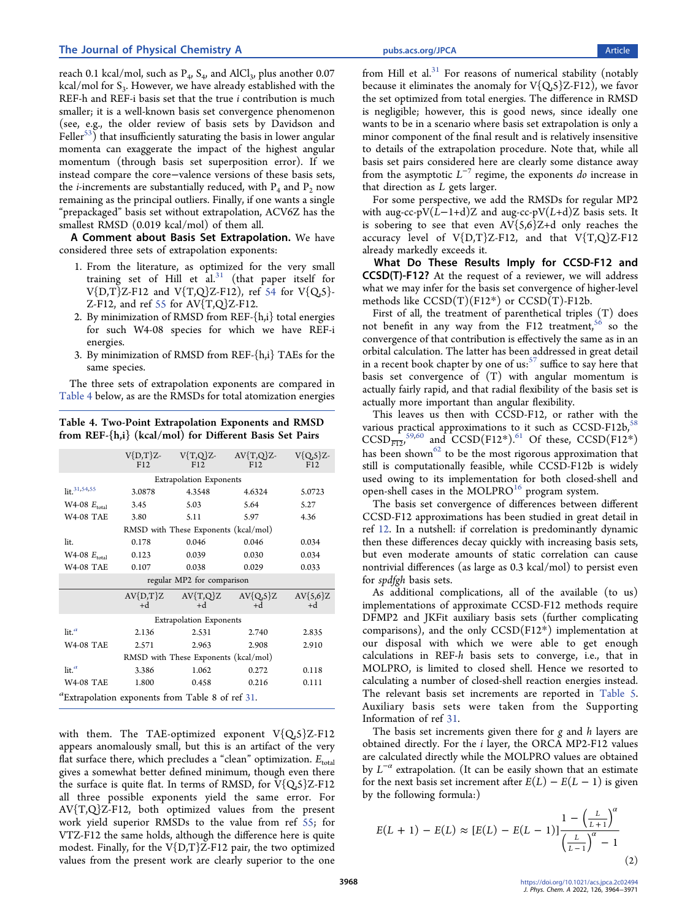reach 0.1 kcal/mol, such as  $P_4$ ,  $S_4$ , and AlCl<sub>3</sub>, plus another 0.07 kcal/mol for  $S_3$ . However, we have already established with the REF-h and REF-i basis set that the true *i* contribution is much smaller; it is a well-known basis set convergence phenomenon (see, e.g., the older review of basis sets by Davidson and  $Feller<sup>53</sup>$ ) that insufficiently saturating the basis in lower angular momenta can exaggerate the impact of the highest angular momentum (through basis set superposition error). If we instead compare the core−valence versions of these basis sets, the *i*-increments are substantially reduced, with  $P_4$  and  $P_2$  now remaining as the principal outliers. Finally, if one wants a single "prepackaged" basis set without extrapolation, ACV6Z has the smallest RMSD (0.019 kcal/mol) of them all.

A Comment about Basis Set Extrapolation. We have considered three sets of extrapolation exponents:

- 1. From the literature, as optimized for the very small training set of Hill et  $aL^{31}$  $aL^{31}$  $aL^{31}$  (that paper itself for  $V{D,T}Z-F12$  and  $V{T,Q}Z-F12$ ), ref [54](#page-7-0) for  $V{Q,S}$ -Z-F12, and ref [55](#page-7-0) for AV{T,Q}Z-F12.
- 2. By minimization of RMSD from REF-{h,i} total energies for such W4-08 species for which we have REF-i energies.
- 3. By minimization of RMSD from REF-{h,i} TAEs for the same species.

The three sets of extrapolation exponents are compared in Table 4 below, as are the RMSDs for total atomization energies

Table 4. Two-Point Extrapolation Exponents and RMSD from REF-{h,i} (kcal/mol) for Different Basis Set Pairs

|                                      | F12                                  | $V(D,T)Z- V{T,Q}Z-$<br>F12               | $AV{T,Q}Z$<br>F12 | $V{Q,5}Z$<br>F12   |  |  |  |  |  |
|--------------------------------------|--------------------------------------|------------------------------------------|-------------------|--------------------|--|--|--|--|--|
|                                      | <b>Extrapolation Exponents</b>       |                                          |                   |                    |  |  |  |  |  |
| lit. <sup>31,54,55</sup>             | 3.0878                               | 5.0723                                   |                   |                    |  |  |  |  |  |
| W4-08 $E_{\text{total}}$             | 3.45                                 | 5.03                                     | 5.64              | 5.27               |  |  |  |  |  |
| <b>W4-08 TAE</b>                     | 3.80                                 | 5.11                                     | 5.97              | 4.36               |  |  |  |  |  |
|                                      | RMSD with These Exponents (kcal/mol) |                                          |                   |                    |  |  |  |  |  |
| lit.                                 | 0.178                                | 0.046                                    | 0.046             | 0.034              |  |  |  |  |  |
| W4-08 $E_{\text{total}}$             | 0.123                                | 0.039                                    | 0.030             | 0.034              |  |  |  |  |  |
| <b>W4-08 TAE</b>                     | 0.107                                | 0.038                                    | 0.029             | 0.033              |  |  |  |  |  |
| regular MP2 for comparison           |                                      |                                          |                   |                    |  |  |  |  |  |
|                                      | $h+$                                 | $AV{D,T}Z$ $AV{T,Q}Z$ $AV{Q,S}Z$<br>$+d$ | $+d$              | $AV{5,6}Z$<br>$+d$ |  |  |  |  |  |
|                                      |                                      | <b>Extrapolation Exponents</b>           |                   |                    |  |  |  |  |  |
| $\mathop{\text{lit}}\nolimits$ .     | 2.136                                | 2.531                                    | 2.740             | 2.835              |  |  |  |  |  |
| <b>W4-08 TAE</b>                     | 2.571                                | 2.963                                    | 2.908             | 2.910              |  |  |  |  |  |
| RMSD with These Exponents (kcal/mol) |                                      |                                          |                   |                    |  |  |  |  |  |
| $\mathop{\text{lit}}\nolimits$ .     | 3.386                                | 1.062                                    | 0.272             | 0.118              |  |  |  |  |  |
| <b>W4-08 TAE</b>                     | 1.800                                | 0.458                                    | 0.216             | 0.111              |  |  |  |  |  |
|                                      |                                      |                                          |                   |                    |  |  |  |  |  |

with them. The TAE-optimized exponent  $V{Q_5}Z-F12$ appears anomalously small, but this is an artifact of the very flat surface there, which precludes a "clean" optimization.  $E_{total}$ gives a somewhat better defined minimum, though even there the surface is quite flat. In terms of RMSD, for  $V{Q,5}Z-F12$ all three possible exponents yield the same error. For AV{T,Q}Z-F12, both optimized values from the present work yield superior RMSDs to the value from ref [55;](#page-7-0) for VTZ-F12 the same holds, although the difference here is quite modest. Finally, for the  $V(D,T)Z-F12$  pair, the two optimized values from the present work are clearly superior to the one

from Hill et al. $31$  For reasons of numerical stability (notably because it eliminates the anomaly for  $V{Q<sub>i</sub>5}Z-F12$ , we favor the set optimized from total energies. The difference in RMSD is negligible; however, this is good news, since ideally one wants to be in a scenario where basis set extrapolation is only a minor component of the final result and is relatively insensitive to details of the extrapolation procedure. Note that, while all basis set pairs considered here are clearly some distance away from the asymptotic  $L^{-7}$  regime, the exponents do increase in that direction as  $L$  gets larger.

For some perspective, we add the RMSDs for regular MP2 with aug-cc-pV( $L-1+d$ )Z and aug-cc-pV( $L+d$ )Z basis sets. It is sobering to see that even  $AV{5,6}Z+d$  only reaches the accuracy level of  $V(D,T)Z-F12$ , and that  $V(T,Q)Z-F12$ already markedly exceeds it.

What Do These Results Imply for CCSD-F12 and CCSD(T)-F12? At the request of a reviewer, we will address what we may infer for the basis set convergence of higher-level methods like  $CCSD(T)(F12*)$  or  $CCSD(T)$ -F12b.

First of all, the treatment of parenthetical triples (T) does not benefit in any way from the F12 treatment,<sup>56</sup> so the convergence of that contribution is effectively the same as in an orbital calculation. The latter has been addressed in great detail in a recent book chapter by one of us: $57$  suffice to say here that basis set convergence of (T) with angular momentum is actually fairly rapid, and that radial flexibility of the basis set is actually more important than angular flexibility.

This leaves us then with CCSD-F12, or rather with the various practical approximations to it such as  $CCSD-F12b$ ,<sup>58</sup>  $CCSD<sub>F12</sub><sup>59,60</sup>$  $CCSD<sub>F12</sub><sup>59,60</sup>$  $CCSD<sub>F12</sub><sup>59,60</sup>$  $CCSD<sub>F12</sub><sup>59,60</sup>$  $CCSD<sub>F12</sub><sup>59,60</sup>$  and  $CCSD(F12^*)$ .<sup>61</sup> Of these,  $CCSD(F12^*)$ has been shown<sup>[62](#page-7-0)</sup> to be the most rigorous approximation that still is computationally feasible, while CCSD-F12b is widely used owing to its implementation for both closed-shell and open-shell cases in the MOLPRO $16$  program system.

The basis set convergence of differences between different CCSD-F12 approximations has been studied in great detail in ref [12.](#page-6-0) In a nutshell: if correlation is predominantly dynamic then these differences decay quickly with increasing basis sets, but even moderate amounts of static correlation can cause nontrivial differences (as large as 0.3 kcal/mol) to persist even for spdfgh basis sets.

As additional complications, all of the available (to us) implementations of approximate CCSD-F12 methods require DFMP2 and JKFit auxiliary basis sets (further complicating comparisons), and the only CCSD(F12\*) implementation at our disposal with which we were able to get enough calculations in REF-h basis sets to converge, i.e., that in MOLPRO, is limited to closed shell. Hence we resorted to calculating a number of closed-shell reaction energies instead. The relevant basis set increments are reported in [Table 5](#page-5-0). Auxiliary basis sets were taken from the Supporting Information of ref [31](#page-7-0).

The basis set increments given there for  $g$  and  $h$  layers are obtained directly. For the  $i$  layer, the ORCA MP2-F12 values are calculated directly while the MOLPRO values are obtained by  $L^{-\alpha}$  extrapolation. (It can be easily shown that an estimate for the next basis set increment after  $E(L) - E(L-1)$  is given by the following formula:)

$$
E(L + 1) - E(L) \approx [E(L) - E(L - 1)] \frac{1 - \left(\frac{L}{L + 1}\right)^{\alpha}}{\left(\frac{L}{L - 1}\right)^{\alpha} - 1}
$$
\n(2)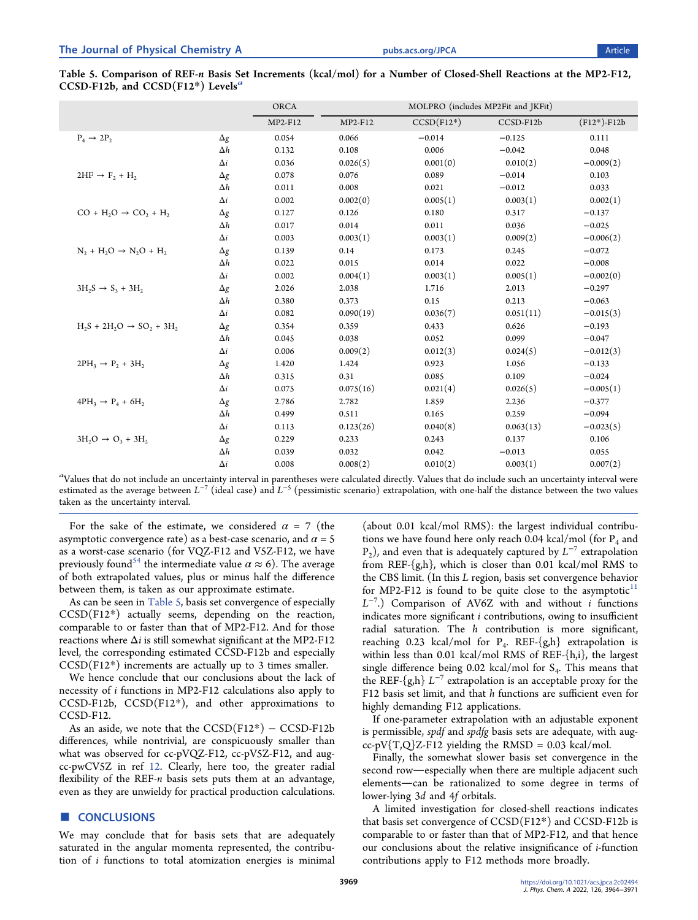<span id="page-5-0"></span>Table 5. Comparison of REF-n Basis Set Increments (kcal/mol) for a Number of Closed-Shell Reactions at the MP2-F12, CCSD-F12b, and CCSD(F12\*) Levels<sup>a</sup>

|                                        |            | <b>ORCA</b> |           |              | MOLPRO (includes MP2Fit and JKFit) |               |  |
|----------------------------------------|------------|-------------|-----------|--------------|------------------------------------|---------------|--|
|                                        |            | MP2-F12     | MP2-F12   | $CCSD(F12*)$ | CCSD-F12b                          | $(F12*)-F12b$ |  |
| $P_4 \rightarrow 2P_2$                 | $\Delta g$ | 0.054       | 0.066     | $-0.014$     | $-0.125$                           | 0.111         |  |
|                                        | $\Delta h$ | 0.132       | 0.108     | 0.006        | $-0.042$                           | 0.048         |  |
|                                        | $\Delta i$ | 0.036       | 0.026(5)  | 0.001(0)     | 0.010(2)                           | $-0.009(2)$   |  |
| $2HF \rightarrow F_2 + H_2$            | $\Delta g$ | 0.078       | 0.076     | 0.089        | $-0.014$                           | 0.103         |  |
|                                        | $\Delta h$ | 0.011       | 0.008     | 0.021        | $-0.012$                           | 0.033         |  |
|                                        | $\Delta i$ | 0.002       | 0.002(0)  | 0.005(1)     | 0.003(1)                           | 0.002(1)      |  |
| $CO + H2O \rightarrow CO2 + H2$        | $\Delta g$ | 0.127       | 0.126     | 0.180        | 0.317                              | $-0.137$      |  |
|                                        | Δh         | 0.017       | 0.014     | 0.011        | 0.036                              | $-0.025$      |  |
|                                        | $\Delta i$ | 0.003       | 0.003(1)  | 0.003(1)     | 0.009(2)                           | $-0.006(2)$   |  |
| $N_2 + H_2O \rightarrow N_2O + H_2$    | $\Delta g$ | 0.139       | 0.14      | 0.173        | 0.245                              | $-0.072$      |  |
|                                        | $\Delta h$ | 0.022       | 0.015     | 0.014        | 0.022                              | $-0.008$      |  |
|                                        | $\Delta i$ | 0.002       | 0.004(1)  | 0.003(1)     | 0.005(1)                           | $-0.002(0)$   |  |
| $3H_2S \rightarrow S_3 + 3H_2$         | $\Delta g$ | 2.026       | 2.038     | 1.716        | 2.013                              | $-0.297$      |  |
|                                        | $\Delta h$ | 0.380       | 0.373     | 0.15         | 0.213                              | $-0.063$      |  |
|                                        | $\Delta i$ | 0.082       | 0.090(19) | 0.036(7)     | 0.051(11)                          | $-0.015(3)$   |  |
| $H_2S + 2H_2O \rightarrow SO_2 + 3H_2$ | $\Delta g$ | 0.354       | 0.359     | 0.433        | 0.626                              | $-0.193$      |  |
|                                        | $\Delta h$ | 0.045       | 0.038     | 0.052        | 0.099                              | $-0.047$      |  |
|                                        | $\Delta i$ | 0.006       | 0.009(2)  | 0.012(3)     | 0.024(5)                           | $-0.012(3)$   |  |
| $2PH_3 \rightarrow P_2 + 3H_2$         | $\Delta g$ | 1.420       | 1.424     | 0.923        | 1.056                              | $-0.133$      |  |
|                                        | $\Delta h$ | 0.315       | 0.31      | 0.085        | 0.109                              | $-0.024$      |  |
|                                        | $\Delta i$ | 0.075       | 0.075(16) | 0.021(4)     | 0.026(5)                           | $-0.005(1)$   |  |
| $4PH_3 \rightarrow P_4 + 6H_2$         | $\Delta g$ | 2.786       | 2.782     | 1.859        | 2.236                              | $-0.377$      |  |
|                                        | $\Delta h$ | 0.499       | 0.511     | 0.165        | 0.259                              | $-0.094$      |  |
|                                        | $\Delta i$ | 0.113       | 0.123(26) | 0.040(8)     | 0.063(13)                          | $-0.023(5)$   |  |
| $3H_2O \rightarrow O_3 + 3H_2$         | $\Delta g$ | 0.229       | 0.233     | 0.243        | 0.137                              | 0.106         |  |
|                                        | $\Delta h$ | 0.039       | 0.032     | 0.042        | $-0.013$                           | 0.055         |  |
|                                        | $\Delta i$ | 0.008       | 0.008(2)  | 0.010(2)     | 0.003(1)                           | 0.007(2)      |  |

 $a$ Values that do not include an uncertainty interval in parentheses were calculated directly. Values that do include such an uncertainty interval were estimated as the average between  $L^{-7}$  (ideal case) and  $L^{-5}$  (pessimistic scenario) extrapolation, with one-half the distance between the two values taken as the uncertainty interval.

For the sake of the estimate, we considered  $\alpha = 7$  (the asymptotic convergence rate) as a best-case scenario, and  $\alpha = 5$ as a worst-case scenario (for VQZ-F12 and V5Z-F12, we have previously found<sup>[54](#page-7-0)</sup> the intermediate value  $\alpha \approx 6$ ). The average of both extrapolated values, plus or minus half the difference between them, is taken as our approximate estimate.

As can be seen in Table 5, basis set convergence of especially CCSD(F12\*) actually seems, depending on the reaction, comparable to or faster than that of MP2-F12. And for those reactions where  $\Delta i$  is still somewhat significant at the MP2-F12 level, the corresponding estimated CCSD-F12b and especially  $CCSD(F12*)$  increments are actually up to 3 times smaller.

We hence conclude that our conclusions about the lack of necessity of i functions in MP2-F12 calculations also apply to CCSD-F12b, CCSD(F12\*), and other approximations to CCSD-F12.

As an aside, we note that the  $\mathrm{CCSD}(\mathrm{F12^*})\,-\,\mathrm{CCSD}\text{-}\mathrm{F12b}$ differences, while nontrivial, are conspicuously smaller than what was observed for cc-pVQZ-F12, cc-pV5Z-F12, and augcc-pwCV5Z in ref [12](#page-6-0). Clearly, here too, the greater radial flexibility of the REF- $n$  basis sets puts them at an advantage, even as they are unwieldy for practical production calculations.

#### ■ CONCLUSIONS

We may conclude that for basis sets that are adequately saturated in the angular momenta represented, the contribution of i functions to total atomization energies is minimal

(about 0.01 kcal/mol RMS): the largest individual contributions we have found here only reach 0.04 kcal/mol (for  $P_4$  and  $P_2$ ), and even that is adequately captured by  $L^{-7}$  extrapolation from REF-{g,h}, which is closer than 0.01 kcal/mol RMS to the CBS limit. (In this L region, basis set convergence behavior for MP2-F12 is found to be quite close to the asymptotic $11$ L<sup>-7</sup>.) Comparison of AV6Z with and without *i* functions indicates more significant  $i$  contributions, owing to insufficient radial saturation. The  $h$  contribution is more significant, reaching 0.23 kcal/mol for  $P_4$ . REF-{g,h} extrapolation is within less than 0.01 kcal/mol RMS of REF-{h,i}, the largest single difference being  $0.02$  kcal/mol for  $S<sub>4</sub>$ . This means that the REF- $\{g,h\}$   $L^{-7}$  extrapolation is an acceptable proxy for the F12 basis set limit, and that h functions are sufficient even for highly demanding F12 applications.

If one-parameter extrapolation with an adjustable exponent is permissible, *spdf* and *spdfg* basis sets are adequate, with augcc-pV ${T,Q}Z$ -F12 yielding the RMSD = 0.03 kcal/mol.

Finally, the somewhat slower basis set convergence in the second row-especially when there are multiple adjacent such elements-can be rationalized to some degree in terms of lower-lying 3d and 4f orbitals.

A limited investigation for closed-shell reactions indicates that basis set convergence of CCSD(F12\*) and CCSD-F12b is comparable to or faster than that of MP2-F12, and that hence our conclusions about the relative insignificance of i-function contributions apply to F12 methods more broadly.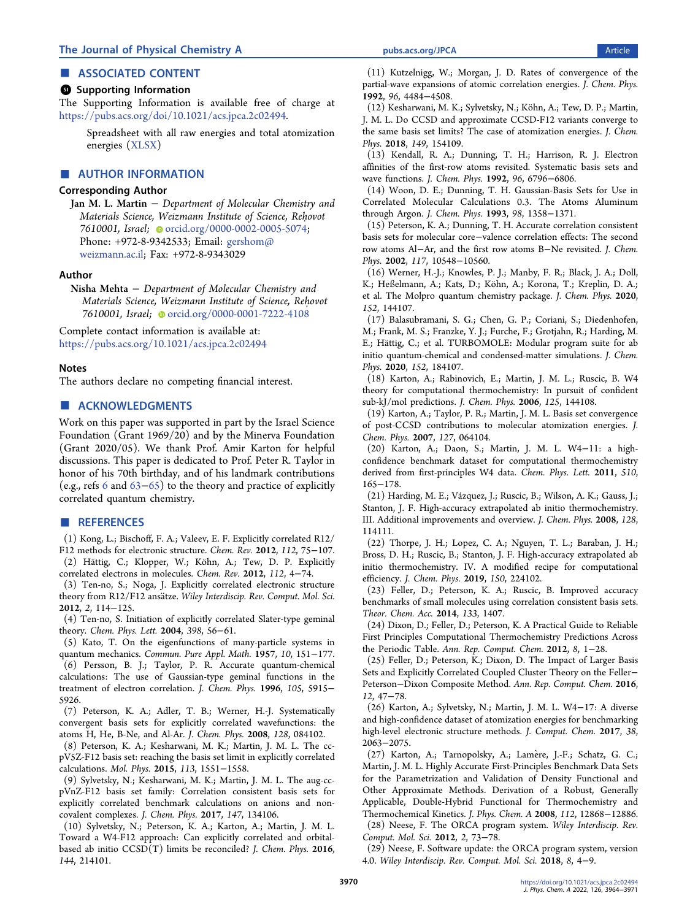## <span id="page-6-0"></span>■ ASSOCIATED CONTENT

#### **<sup>3</sup>** Supporting Information

The Supporting Information is available free of charge at [https://pubs.acs.org/doi/10.1021/acs.jpca.2c02494.](https://pubs.acs.org/doi/10.1021/acs.jpca.2c02494?goto=supporting-info)

> Spreadsheet with all raw energies and total atomization energies ([XLSX\)](https://pubs.acs.org/doi/suppl/10.1021/acs.jpca.2c02494/suppl_file/jp2c02494_si_001.xlsx)

#### ■ AUTHOR INFORMATION

#### Corresponding Author

Jan M. L. Martin − Department of Molecular Chemistry and Materials Science, Weizmann Institute of Science, Reḥovot 7610001, Israel; c[orcid.org/0000-0002-0005-5074](https://orcid.org/0000-0002-0005-5074); Phone: +972-8-9342533; Email: [gershom@](mailto:gershom@weizmann.ac.il) [weizmann.ac.il;](mailto:gershom@weizmann.ac.il) Fax: +972-8-9343029

#### Author

Nisha Mehta − Department of Molecular Chemistry and Materials Science, Weizmann Institute of Science, Rehovot 7610001, Israel; [orcid.org/0000-0001-7222-4108](https://orcid.org/0000-0001-7222-4108)

Complete contact information is available at: [https://pubs.acs.org/10.1021/acs.jpca.2c02494](https://pubs.acs.org/doi/10.1021/acs.jpca.2c02494?ref=pdf)

## Notes

The authors declare no competing financial interest.

## ■ ACKNOWLEDGMENTS

Work on this paper was supported in part by the Israel Science Foundation (Grant 1969/20) and by the Minerva Foundation (Grant 2020/05). We thank Prof. Amir Karton for helpful discussions. This paper is dedicated to Prof. Peter R. Taylor in honor of his 70th birthday, and of his landmark contributions (e.g., refs 6 and [63](#page-7-0)−[65](#page-7-0)) to the theory and practice of explicitly correlated quantum chemistry.

#### ■ REFERENCES

(1) Kong, L.; Bischoff, F. A.; Valeev, E. F[. Explicitly correlated R12/](https://doi.org/10.1021/cr200204r?urlappend=%3Fref%3DPDF&jav=VoR&rel=cite-as) [F12 methods for electronic structure.](https://doi.org/10.1021/cr200204r?urlappend=%3Fref%3DPDF&jav=VoR&rel=cite-as) Chem. Rev. 2012, 112, 75−107. (2) Hättig, C.; Klopper, W.; Köhn, A.; Tew, D. P[. Explicitly](https://doi.org/10.1021/cr200168z?urlappend=%3Fref%3DPDF&jav=VoR&rel=cite-as) [correlated electrons in molecules.](https://doi.org/10.1021/cr200168z?urlappend=%3Fref%3DPDF&jav=VoR&rel=cite-as) Chem. Rev. 2012, 112, 4−74.

(3) Ten-no, S.; Noga, J. [Explicitly correlated electronic structure](https://doi.org/10.1002/wcms.68) theory from R12/F12 ansätze. Wiley Interdiscip. Rev. Comput. Mol. Sci. 2012, 2, 114−125.

(4) Ten-no, S. [Initiation of explicitly correlated Slater-type geminal](https://doi.org/10.1016/j.cplett.2004.09.041) [theory.](https://doi.org/10.1016/j.cplett.2004.09.041) Chem. Phys. Lett. 2004, 398, 56−61.

(5) Kato, T. [On the eigenfunctions of many-particle systems in](https://doi.org/10.1002/cpa.3160100201) [quantum mechanics.](https://doi.org/10.1002/cpa.3160100201) Commun. Pure Appl. Math. 1957, 10, 151−177. (6) Persson, B. J.; Taylor, P. R[. Accurate quantum-chemical](https://doi.org/10.1063/1.472432) [calculations: The use of Gaussian-type geminal functions in the](https://doi.org/10.1063/1.472432) [treatment of electron correlation.](https://doi.org/10.1063/1.472432) J. Chem. Phys. 1996, 105, 5915− 5926.

(7) Peterson, K. A.; Adler, T. B.; Werner, H.-J[. Systematically](https://doi.org/10.1063/1.2831537) [convergent basis sets for explicitly correlated wavefunctions: the](https://doi.org/10.1063/1.2831537) [atoms H, He, B-Ne, and Al-Ar.](https://doi.org/10.1063/1.2831537) J. Chem. Phys. 2008, 128, 084102.

(8) Peterson, K. A.; Kesharwani, M. K.; Martin, J. M. L[. The cc](https://doi.org/10.1080/00268976.2014.985755)[pV5Z-F12 basis set: reaching the basis set limit in explicitly correlated](https://doi.org/10.1080/00268976.2014.985755) [calculations.](https://doi.org/10.1080/00268976.2014.985755) Mol. Phys. 2015, 113, 1551−1558.

(9) Sylvetsky, N.; Kesharwani, M. K.; Martin, J. M. L. [The aug-cc](https://doi.org/10.1063/1.4998332)[pVnZ-F12 basis set family: Correlation consistent basis sets for](https://doi.org/10.1063/1.4998332) [explicitly correlated benchmark calculations on anions and non](https://doi.org/10.1063/1.4998332)[covalent complexes.](https://doi.org/10.1063/1.4998332) J. Chem. Phys. 2017, 147, 134106.

(10) Sylvetsky, N.; Peterson, K. A.; Karton, A.; Martin, J. M. L. [Toward a W4-F12 approach: Can explicitly correlated and orbital](https://doi.org/10.1063/1.4952410)[based ab initio CCSD\(T\) limits be reconciled?](https://doi.org/10.1063/1.4952410) J. Chem. Phys. 2016, 144, 214101.

(11) Kutzelnigg, W.; Morgan, J. D. [Rates of convergence of the](https://doi.org/10.1063/1.462811) [partial-wave expansions of atomic correlation energies.](https://doi.org/10.1063/1.462811) J. Chem. Phys. 1992, 96, 4484−4508.

(12) Kesharwani, M. K.; Sylvetsky, N.; Köhn, A.; Tew, D. P.; Martin, J. M. L. [Do CCSD and approximate CCSD-F12 variants converge to](https://doi.org/10.1063/1.5048665) [the same basis set limits? The case of atomization energies.](https://doi.org/10.1063/1.5048665) J. Chem. Phys. 2018, 149, 154109.

(13) Kendall, R. A.; Dunning, T. H.; Harrison, R. J[. Electron](https://doi.org/10.1063/1.462569) [affinities of the first-row atoms revisited. Systematic basis sets and](https://doi.org/10.1063/1.462569) [wave functions.](https://doi.org/10.1063/1.462569) J. Chem. Phys. 1992, 96, 6796−6806.

(14) Woon, D. E.; Dunning, T. H. [Gaussian-Basis Sets for Use in](https://doi.org/10.1063/1.464303) [Correlated Molecular Calculations 0.3. The Atoms Aluminum](https://doi.org/10.1063/1.464303) [through Argon.](https://doi.org/10.1063/1.464303) J. Chem. Phys. 1993, 98, 1358−1371.

(15) Peterson, K. A.; Dunning, T. H. [Accurate correlation consistent](https://doi.org/10.1063/1.1520138) basis sets for molecular core−[valence correlation effects: The second](https://doi.org/10.1063/1.1520138) row atoms Al−[Ar, and the first row atoms B](https://doi.org/10.1063/1.1520138)−Ne revisited. J. Chem. Phys. 2002, 117, 10548−10560.

(16) Werner, H.-J.; Knowles, P. J.; Manby, F. R.; Black, J. A.; Doll, K.; Heßelmann, A.; Kats, D.; Köhn, A.; Korona, T.; Kreplin, D. A.; et al. [The Molpro quantum chemistry package.](https://doi.org/10.1063/5.0005081) J. Chem. Phys. 2020, 152, 144107.

(17) Balasubramani, S. G.; Chen, G. P.; Coriani, S.; Diedenhofen, M.; Frank, M. S.; Franzke, Y. J.; Furche, F.; Grotjahn, R.; Harding, M. E.; Hättig, C.; et al[. TURBOMOLE: Modular program suite for ab](https://doi.org/10.1063/5.0004635) [initio quantum-chemical and condensed-matter simulations.](https://doi.org/10.1063/5.0004635) J. Chem. Phys. 2020, 152, 184107.

(18) Karton, A.; Rabinovich, E.; Martin, J. M. L.; Ruscic, B[. W4](https://doi.org/10.1063/1.2348881) [theory for computational thermochemistry: In pursuit of confident](https://doi.org/10.1063/1.2348881) [sub-kJ/mol predictions.](https://doi.org/10.1063/1.2348881) J. Chem. Phys. 2006, 125, 144108.

(19) Karton, A.; Taylor, P. R.; Martin, J. M. L[. Basis set convergence](https://doi.org/10.1063/1.2755751) [of post-CCSD contributions to molecular atomization energies.](https://doi.org/10.1063/1.2755751) J. Chem. Phys. 2007, 127, 064104.

(20) Karton, A.; Daon, S.; Martin, J. M. L. W4−[11: a high](https://doi.org/10.1016/j.cplett.2011.05.007)[confidence benchmark dataset for computational thermochemistry](https://doi.org/10.1016/j.cplett.2011.05.007) [derived from first-principles W4 data.](https://doi.org/10.1016/j.cplett.2011.05.007) Chem. Phys. Lett. 2011, 510, 165−178.

(21) Harding, M. E.; Vázquez, J.; Ruscic, B.; Wilson, A. K.; Gauss, J.; Stanton, J. F. [High-accuracy extrapolated ab initio thermochemistry.](https://doi.org/10.1063/1.2835612) [III. Additional improvements and overview.](https://doi.org/10.1063/1.2835612) J. Chem. Phys. 2008, 128, 114111.

(22) Thorpe, J. H.; Lopez, C. A.; Nguyen, T. L.; Baraban, J. H.; Bross, D. H.; Ruscic, B.; Stanton, J. F. [High-accuracy extrapolated ab](https://doi.org/10.1063/1.5095937) [initio thermochemistry. IV. A modified recipe for computational](https://doi.org/10.1063/1.5095937) [efficiency.](https://doi.org/10.1063/1.5095937) J. Chem. Phys. 2019, 150, 224102.

(23) Feller, D.; Peterson, K. A.; Ruscic, B. [Improved accuracy](https://doi.org/10.1007/s00214-013-1407-z) [benchmarks of small molecules using correlation consistent basis sets.](https://doi.org/10.1007/s00214-013-1407-z) Theor. Chem. Acc. 2014, 133, 1407.

(24) Dixon, D.; Feller, D.; Peterson, K. [A Practical Guide to Reliable](https://doi.org/10.1016/B978-0-444-59440-2.00001-6) [First Principles Computational Thermochemistry Predictions Across](https://doi.org/10.1016/B978-0-444-59440-2.00001-6) [the Periodic Table.](https://doi.org/10.1016/B978-0-444-59440-2.00001-6) Ann. Rep. Comput. Chem. 2012, 8, 1−28.

(25) Feller, D.; Peterson, K.; Dixon, D[. The Impact of Larger Basis](https://doi.org/10.1016/bs.arcc.2016.02.001) [Sets and Explicitly Correlated Coupled Cluster Theory on the Feller](https://doi.org/10.1016/bs.arcc.2016.02.001)− Peterson−[Dixon Composite Method.](https://doi.org/10.1016/bs.arcc.2016.02.001) Ann. Rep. Comput. Chem. 2016, 12, 47−78.

(26) Karton, A.; Sylvetsky, N.; Martin, J. M. L. W4−[17: A diverse](https://doi.org/10.1002/jcc.24854) [and high-confidence dataset of atomization energies for benchmarking](https://doi.org/10.1002/jcc.24854) [high-level electronic structure methods.](https://doi.org/10.1002/jcc.24854) J. Comput. Chem. 2017, 38, 2063−2075.

(27) Karton, A.; Tarnopolsky, A.; Lamere, J.-F.; Schatz, G. C.; ̀ Martin, J. M. L[. Highly Accurate First-Principles Benchmark Data Sets](https://doi.org/10.1021/jp801805p?urlappend=%3Fref%3DPDF&jav=VoR&rel=cite-as) [for the Parametrization and Validation of Density Functional and](https://doi.org/10.1021/jp801805p?urlappend=%3Fref%3DPDF&jav=VoR&rel=cite-as) [Other Approximate Methods. Derivation of a Robust, Generally](https://doi.org/10.1021/jp801805p?urlappend=%3Fref%3DPDF&jav=VoR&rel=cite-as) [Applicable, Double-Hybrid Functional for Thermochemistry and](https://doi.org/10.1021/jp801805p?urlappend=%3Fref%3DPDF&jav=VoR&rel=cite-as) [Thermochemical Kinetics.](https://doi.org/10.1021/jp801805p?urlappend=%3Fref%3DPDF&jav=VoR&rel=cite-as) J. Phys. Chem. A 2008, 112, 12868−12886.

(28) Neese, F. [The ORCA program system.](https://doi.org/10.1002/wcms.81) Wiley Interdiscip. Rev. Comput. Mol. Sci. 2012, 2, 73−78.

(29) Neese, F. [Software update: the ORCA program system, version](https://doi.org/10.1002/wcms.1327) [4.0.](https://doi.org/10.1002/wcms.1327) Wiley Interdiscip. Rev. Comput. Mol. Sci. 2018, 8, 4−9.